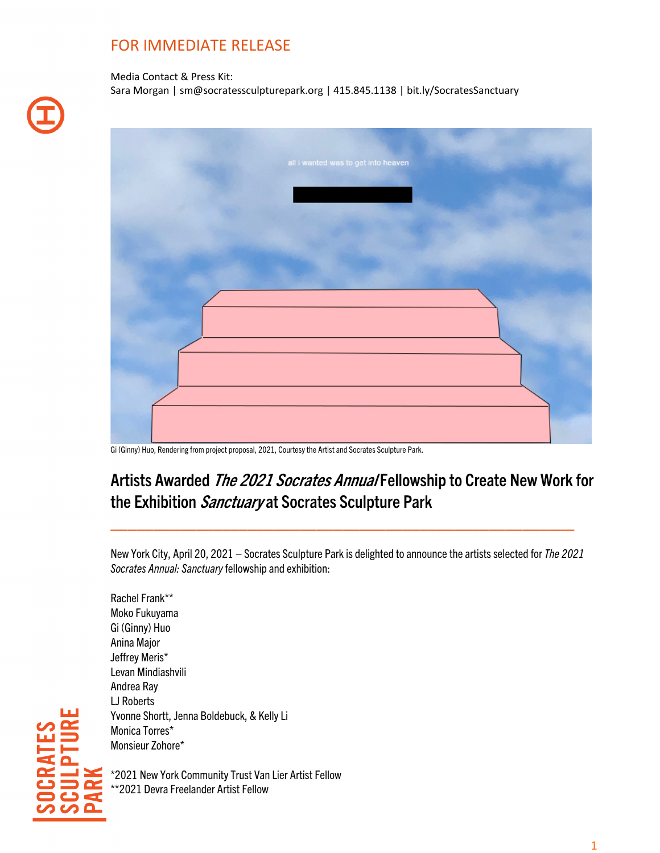## FOR IMMEDIATE RELEASE

Media Contact & Press Kit: Sara Morgan | sm@socratessculpturepark.org | 415.845.1138 | bit.ly/SocratesSanctuary

Gi (Ginny) Huo, Rendering from project proposal, 2021, Courtesy the Artist and Socrates Sculpture Park.

# Artists Awarded The 2021 Socrates Annual Fellowship to Create New Work for the Exhibition Sanctuary at Socrates Sculpture Park

New York City, April 20, 2021 – Socrates Sculpture Park is delighted to announce the artistsselected for *The 2021 Socrates Annual: Sanctuary*fellowship and exhibition:

\_\_\_\_\_\_\_\_\_\_\_\_\_\_\_\_\_\_\_\_\_\_\_\_\_\_\_\_\_\_\_\_\_\_\_\_\_\_\_\_\_\_\_\_\_\_\_\_\_\_\_\_\_\_

Rachel Frank\*\* Moko Fukuyama Gi (Ginny) Huo Anina Major Jeffrey Meris\* Levan Mindiashvili Andrea Ray LJ Roberts Yvonne Shortt, Jenna Boldebuck, & Kelly Li Monica Torres\* Monsieur Zohore\*

\*2021 New York Community Trust Van Lier Artist Fellow \*\*2021 Devra Freelander Artist Fellow